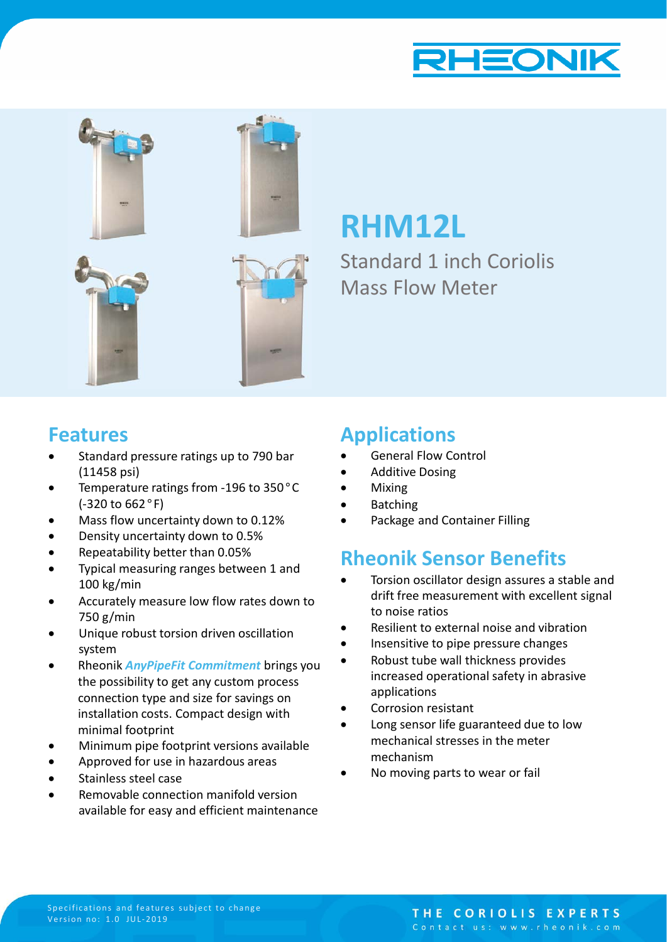



**RHM12L**

Standard 1 inch Coriolis Mass Flow Meter

### **Features**

- Standard pressure ratings up to 790 bar (11458 psi)
- Temperature ratings from -196 to 350°C (-320 to 662°F)
- Mass flow uncertainty down to 0.12%
- Density uncertainty down to 0.5%
- Repeatability better than 0.05%
- Typical measuring ranges between 1 and 100 kg/min
- Accurately measure low flow rates down to 750 g/min
- Unique robust torsion driven oscillation system
- Rheonik *AnyPipeFit Commitment* brings you the possibility to get any custom process connection type and size for savings on installation costs. Compact design with minimal footprint
- Minimum pipe footprint versions available
- Approved for use in hazardous areas
- Stainless steel case
- Removable connection manifold version available for easy and efficient maintenance

## **Applications**

- General Flow Control
- Additive Dosing
- Mixing
- Batching
- Package and Container Filling

# **Rheonik Sensor Benefits**

- Torsion oscillator design assures a stable and drift free measurement with excellent signal to noise ratios
- Resilient to external noise and vibration
- Insensitive to pipe pressure changes
- Robust tube wall thickness provides increased operational safety in abrasive applications
- Corrosion resistant
- Long sensor life guaranteed due to low mechanical stresses in the meter mechanism
- No moving parts to wear or fail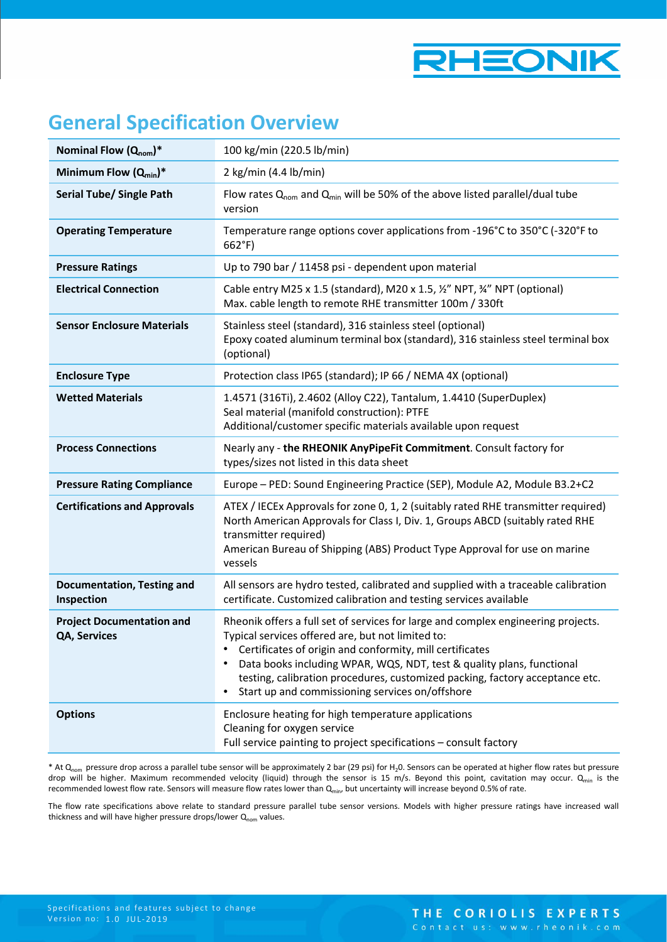

# **General Specification Overview**

| Nominal Flow $(Q_{nom})^*$                       | 100 kg/min (220.5 lb/min)                                                                                                                                                                                                                                                                                                                                                                                      |
|--------------------------------------------------|----------------------------------------------------------------------------------------------------------------------------------------------------------------------------------------------------------------------------------------------------------------------------------------------------------------------------------------------------------------------------------------------------------------|
| Minimum Flow $(Q_{min})^*$                       | 2 kg/min (4.4 lb/min)                                                                                                                                                                                                                                                                                                                                                                                          |
| <b>Serial Tube/ Single Path</b>                  | Flow rates $Q_{nom}$ and $Q_{min}$ will be 50% of the above listed parallel/dual tube<br>version                                                                                                                                                                                                                                                                                                               |
| <b>Operating Temperature</b>                     | Temperature range options cover applications from -196°C to 350°C (-320°F to<br>$662^{\circ}F$                                                                                                                                                                                                                                                                                                                 |
| <b>Pressure Ratings</b>                          | Up to 790 bar / 11458 psi - dependent upon material                                                                                                                                                                                                                                                                                                                                                            |
| <b>Electrical Connection</b>                     | Cable entry M25 x 1.5 (standard), M20 x 1.5, 1/2" NPT, 3/4" NPT (optional)<br>Max. cable length to remote RHE transmitter 100m / 330ft                                                                                                                                                                                                                                                                         |
| <b>Sensor Enclosure Materials</b>                | Stainless steel (standard), 316 stainless steel (optional)<br>Epoxy coated aluminum terminal box (standard), 316 stainless steel terminal box<br>(optional)                                                                                                                                                                                                                                                    |
| <b>Enclosure Type</b>                            | Protection class IP65 (standard); IP 66 / NEMA 4X (optional)                                                                                                                                                                                                                                                                                                                                                   |
| <b>Wetted Materials</b>                          | 1.4571 (316Ti), 2.4602 (Alloy C22), Tantalum, 1.4410 (SuperDuplex)<br>Seal material (manifold construction): PTFE<br>Additional/customer specific materials available upon request                                                                                                                                                                                                                             |
| <b>Process Connections</b>                       | Nearly any - the RHEONIK AnyPipeFit Commitment. Consult factory for<br>types/sizes not listed in this data sheet                                                                                                                                                                                                                                                                                               |
| <b>Pressure Rating Compliance</b>                | Europe - PED: Sound Engineering Practice (SEP), Module A2, Module B3.2+C2                                                                                                                                                                                                                                                                                                                                      |
| <b>Certifications and Approvals</b>              | ATEX / IECEx Approvals for zone 0, 1, 2 (suitably rated RHE transmitter required)<br>North American Approvals for Class I, Div. 1, Groups ABCD (suitably rated RHE<br>transmitter required)<br>American Bureau of Shipping (ABS) Product Type Approval for use on marine<br>vessels                                                                                                                            |
| <b>Documentation, Testing and</b><br>Inspection  | All sensors are hydro tested, calibrated and supplied with a traceable calibration<br>certificate. Customized calibration and testing services available                                                                                                                                                                                                                                                       |
| <b>Project Documentation and</b><br>QA, Services | Rheonik offers a full set of services for large and complex engineering projects.<br>Typical services offered are, but not limited to:<br>Certificates of origin and conformity, mill certificates<br>Data books including WPAR, WQS, NDT, test & quality plans, functional<br>testing, calibration procedures, customized packing, factory acceptance etc.<br>Start up and commissioning services on/offshore |
| <b>Options</b>                                   | Enclosure heating for high temperature applications<br>Cleaning for oxygen service<br>Full service painting to project specifications - consult factory                                                                                                                                                                                                                                                        |

\* At Q<sub>nom</sub> pressure drop across a parallel tube sensor will be approximately 2 bar (29 psi) for H<sub>2</sub>0. Sensors can be operated at higher flow rates but pressure drop will be higher. Maximum recommended velocity (liquid) through the sensor is 15 m/s. Beyond this point, cavitation may occur. Q<sub>min</sub> is the recommended lowest flow rate. Sensors will measure flow rates lower than Q<sub>min</sub>, but uncertainty will increase beyond 0.5% of rate.

The flow rate specifications above relate to standard pressure parallel tube sensor versions. Models with higher pressure ratings have increased wall thickness and will have higher pressure drops/lower  $Q_{nom}$  values.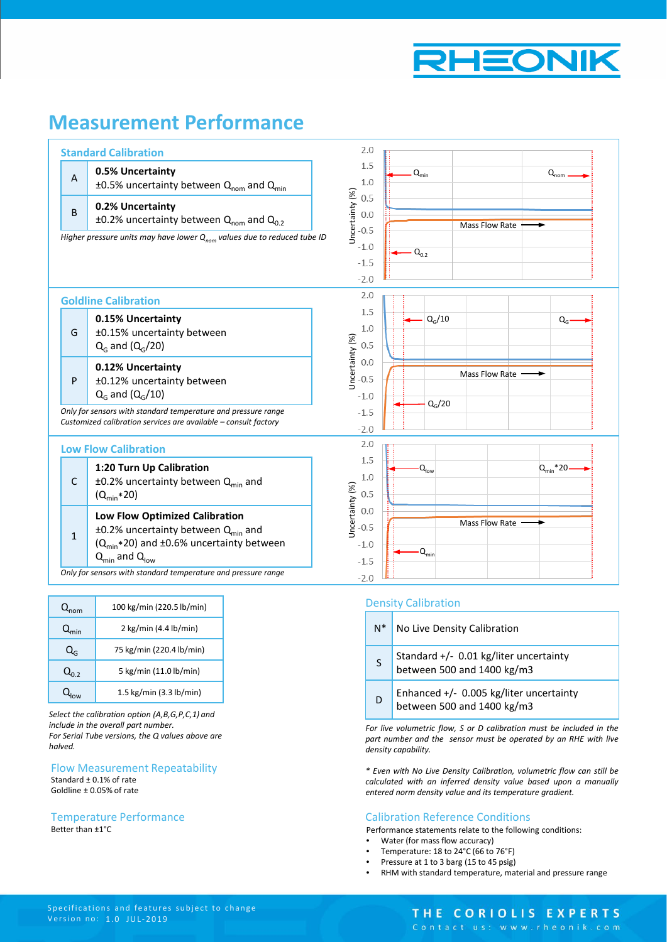

# **Measurement Performance**

|                | <b>Standard Calibration</b>                                                                                                                                                      | 2.0                                                  |                                          |
|----------------|----------------------------------------------------------------------------------------------------------------------------------------------------------------------------------|------------------------------------------------------|------------------------------------------|
| $\overline{A}$ | 0.5% Uncertainty<br>$\pm 0.5$ % uncertainty between Q <sub>nom</sub> and Q <sub>min</sub>                                                                                        | 1.5<br>1.0                                           | $Q_{\text{min}}$<br>$Q_{nom}$            |
| B              | 0.2% Uncertainty<br>±0.2% uncertainty between $Q_{\text{nom}}$ and $Q_{0.2}$                                                                                                     | Uncertainty (%)<br>0.5<br>0.0<br>$-0.5$              | <b>Mass Flow Rate</b>                    |
|                | Higher pressure units may have lower $Q_{nom}$ values due to reduced tube ID                                                                                                     | $-1.0$<br>$-1.5$<br>$-2.0$                           | $Q_{0.2}$                                |
|                | <b>Goldline Calibration</b>                                                                                                                                                      | 2.0                                                  |                                          |
| G              | 0.15% Uncertainty<br>±0.15% uncertainty between<br>$Q_G$ and $(Q_G/20)$                                                                                                          | 1.5<br>$1.0\,$<br>0.5                                | $Q_G/10$<br>$Q_{G}$                      |
| P              | 0.12% Uncertainty<br>±0.12% uncertainty between<br>$Q_G$ and $(Q_G/10)$                                                                                                          | Uncertainty (%)<br>0.0<br>$-0.5$<br>$-1.0$           | Mass Flow Rate                           |
|                | Only for sensors with standard temperature and pressure range<br>Customized calibration services are available - consult factory                                                 | $-1.5$<br>$-2.0$                                     | $Q_G/20$                                 |
|                | <b>Low Flow Calibration</b>                                                                                                                                                      | 2.0                                                  |                                          |
| $\mathsf{C}$   | 1:20 Turn Up Calibration<br>$\pm$ 0.2% uncertainty between Q <sub>min</sub> and<br>$(Q_{\text{min}}*20)$                                                                         | 1.5<br>$1.0$<br>0.5                                  | $Q_{\text{min}}$ *20<br>$Q_{\text{low}}$ |
| $\mathbf{1}$   | Low Flow Optimized Calibration<br>$\pm$ 0.2% uncertainty between Q <sub>min</sub> and<br>$(Q_{min} * 20)$ and ±0.6% uncertainty between<br>$Q_{\text{min}}$ and $Q_{\text{low}}$ | Uncertainty (%)<br>0.0<br>$-0.5$<br>$-1.0$<br>$-1.5$ | Mass Flow Rate<br>$\cdot Q_{\text{min}}$ |
|                | Only for sensors with standard temperature and pressure range                                                                                                                    | $-2.0$                                               |                                          |

| $Q_{nom}$   | 100 kg/min (220.5 lb/min)         |
|-------------|-----------------------------------|
| $Q_{\min}$  | 2 kg/min (4.4 lb/min)             |
| $Q_{\rm c}$ | 75 kg/min (220.4 lb/min)          |
| $Q_{0,2}$   | 5 kg/min (11.0 lb/min)            |
|             | 1.5 kg/min $(3.3 \text{ lb/min})$ |

*Select the calibration option (A,B,G,P,C,1) and include in the overall part number. For Serial Tube versions, the Q values above are halved.*

#### Flow Measurement Repeatability Standard ± 0.1% of rate Goldline ± 0.05% of rate

Better than ±1°C Temperature Performance

### Density Calibration

| $N^*$ | No Live Density Calibration                                            |
|-------|------------------------------------------------------------------------|
| S     | Standard $+/-$ 0.01 kg/liter uncertainty<br>between 500 and 1400 kg/m3 |
| D     | Enhanced +/- 0.005 kg/liter uncertainty<br>between 500 and 1400 kg/m3  |

*For live volumetric flow, S or D calibration must be included in the part number and the sensor must be operated by an RHE with live density capability.*

*\* Even with No Live Density Calibration, volumetric flow can still be calculated with an inferred density value based upon a manually entered norm density value and its temperature gradient.*

### Calibration Reference Conditions

Performance statements relate to the following conditions:

- Water (for mass flow accuracy)
- Temperature: 18 to 24°C (66 to 76°F)
- Pressure at 1 to 3 barg (15 to 45 psig)
- RHM with standard temperature, material and pressure range

### THE CORIOLIS EXPERTS

Contact us: www.rheonik.com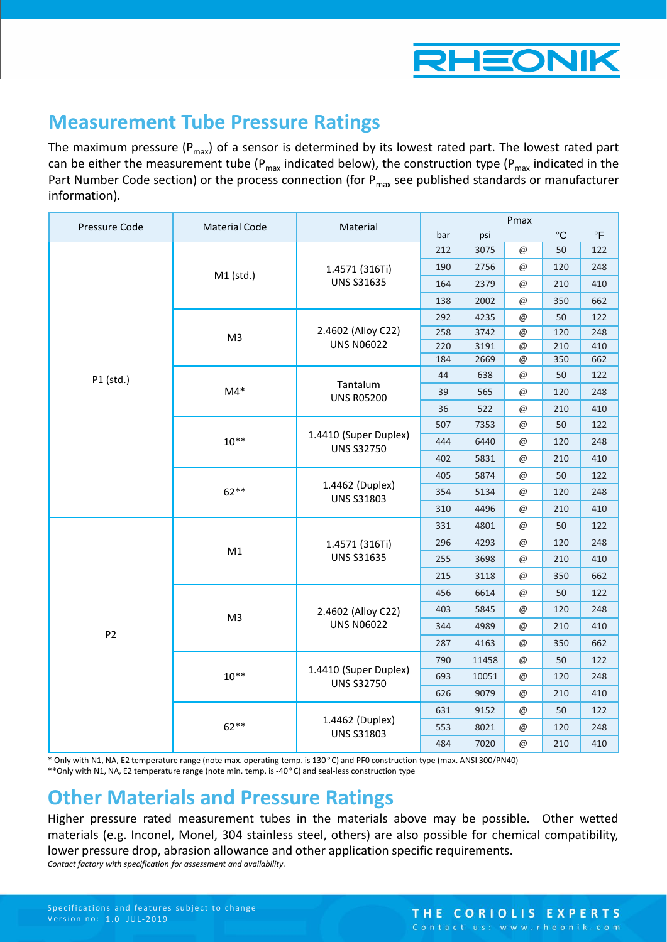

### **Measurement Tube Pressure Ratings**

The maximum pressure ( $P_{max}$ ) of a sensor is determined by its lowest rated part. The lowest rated part can be either the measurement tube ( $P_{max}$  indicated below), the construction type ( $P_{max}$  indicated in the Part Number Code section) or the process connection (for  $P_{\text{max}}$  see published standards or manufacturer information).

| Pressure Code  | <b>Material Code</b> | Material                                                                                                                                                                                                                                                                                                                                                                                                                                                                                                                                                                                                                                                                                                                                                                                                                                                                                      |      |                           | Pmax                      |             |           |
|----------------|----------------------|-----------------------------------------------------------------------------------------------------------------------------------------------------------------------------------------------------------------------------------------------------------------------------------------------------------------------------------------------------------------------------------------------------------------------------------------------------------------------------------------------------------------------------------------------------------------------------------------------------------------------------------------------------------------------------------------------------------------------------------------------------------------------------------------------------------------------------------------------------------------------------------------------|------|---------------------------|---------------------------|-------------|-----------|
|                |                      |                                                                                                                                                                                                                                                                                                                                                                                                                                                                                                                                                                                                                                                                                                                                                                                                                                                                                               | bar  | psi                       |                           | $^{\circ}C$ | $\circ$ F |
|                |                      |                                                                                                                                                                                                                                                                                                                                                                                                                                                                                                                                                                                                                                                                                                                                                                                                                                                                                               | 212  | 3075                      | @<br>50                   | 122         |           |
|                | M1 (std.)            | 1.4571 (316Ti)                                                                                                                                                                                                                                                                                                                                                                                                                                                                                                                                                                                                                                                                                                                                                                                                                                                                                | 190  | 2756                      | $@$                       | 120         | 248       |
|                |                      |                                                                                                                                                                                                                                                                                                                                                                                                                                                                                                                                                                                                                                                                                                                                                                                                                                                                                               | 164  | 2379                      | $@$                       | 210         | 410       |
|                |                      |                                                                                                                                                                                                                                                                                                                                                                                                                                                                                                                                                                                                                                                                                                                                                                                                                                                                                               | 138  | 2002                      | $@$                       | 350         | 662       |
|                |                      |                                                                                                                                                                                                                                                                                                                                                                                                                                                                                                                                                                                                                                                                                                                                                                                                                                                                                               | 292  | 4235                      | @                         | 50          | 122       |
|                | M <sub>3</sub>       | 2.4602 (Alloy C22)                                                                                                                                                                                                                                                                                                                                                                                                                                                                                                                                                                                                                                                                                                                                                                                                                                                                            | 258  | 3742                      | $\circledcirc$            | 120         | 248       |
|                |                      |                                                                                                                                                                                                                                                                                                                                                                                                                                                                                                                                                                                                                                                                                                                                                                                                                                                                                               | 220  | 3191                      | @                         | 210         | 410       |
|                |                      |                                                                                                                                                                                                                                                                                                                                                                                                                                                                                                                                                                                                                                                                                                                                                                                                                                                                                               |      |                           | $^{\copyright}$           |             | 662       |
| P1 (std.)      |                      |                                                                                                                                                                                                                                                                                                                                                                                                                                                                                                                                                                                                                                                                                                                                                                                                                                                                                               | 44   | 638                       | $^{\copyright}$           | 50          | 122       |
|                | $M4*$                | <b>UNS R05200</b>                                                                                                                                                                                                                                                                                                                                                                                                                                                                                                                                                                                                                                                                                                                                                                                                                                                                             | 39   | 565                       | $^{\copyright}$           | 120         | 248       |
|                |                      |                                                                                                                                                                                                                                                                                                                                                                                                                                                                                                                                                                                                                                                                                                                                                                                                                                                                                               | 36   | 522                       | $^\text{\textregistered}$ | 210         | 410       |
|                |                      |                                                                                                                                                                                                                                                                                                                                                                                                                                                                                                                                                                                                                                                                                                                                                                                                                                                                                               | 507  | 7353                      | $@$                       | 50          | 122       |
|                | $10**$               |                                                                                                                                                                                                                                                                                                                                                                                                                                                                                                                                                                                                                                                                                                                                                                                                                                                                                               | 444  | 6440                      | @                         | 120         | 248       |
|                |                      | 402                                                                                                                                                                                                                                                                                                                                                                                                                                                                                                                                                                                                                                                                                                                                                                                                                                                                                           | 5831 | $^\text{\textregistered}$ | 210                       | 410         |           |
|                |                      | <b>UNS S31635</b><br><b>UNS N06022</b><br>184<br>2669<br>350<br>Tantalum<br>1.4410 (Super Duplex)<br><b>UNS S32750</b><br>405<br>5874<br>$@$<br>50<br>1.4462 (Duplex)<br>354<br>5134<br>@<br>120<br><b>UNS S31803</b><br>4496<br>210<br>310<br>$^\text{\textregistered}$<br>4801<br>331<br>$@$<br>50<br>296<br>4293<br>$@$<br>120<br>1.4571 (316Ti)<br><b>UNS S31635</b><br>255<br>3698<br>$^{\copyright}$<br>210<br>3118<br>350<br>215<br>$^{\copyright}$<br>6614<br>50<br>456<br>$^{\copyright}$<br>5845<br>120<br>403<br>$^{\copyright}$<br>2.4602 (Alloy C22)<br><b>UNS N06022</b><br>4989<br>344<br>$@$<br>210<br>287<br>4163<br>$@$<br>350<br>790<br>11458<br>@<br>50<br>1.4410 (Super Duplex)<br>693<br>10051<br>$@$<br>120<br><b>UNS S32750</b><br>9079<br>@<br>626<br>210<br>50<br>631<br>9152<br>@<br>1.4462 (Duplex)<br>553<br>8021<br>120<br>$^{\copyright}$<br><b>UNS S31803</b> |      | 122                       |                           |             |           |
|                | $62**$               |                                                                                                                                                                                                                                                                                                                                                                                                                                                                                                                                                                                                                                                                                                                                                                                                                                                                                               |      | 248                       |                           |             |           |
|                |                      |                                                                                                                                                                                                                                                                                                                                                                                                                                                                                                                                                                                                                                                                                                                                                                                                                                                                                               |      |                           |                           |             | 410       |
|                |                      |                                                                                                                                                                                                                                                                                                                                                                                                                                                                                                                                                                                                                                                                                                                                                                                                                                                                                               |      | 122                       |                           |             |           |
|                | M1                   |                                                                                                                                                                                                                                                                                                                                                                                                                                                                                                                                                                                                                                                                                                                                                                                                                                                                                               |      |                           |                           |             | 248       |
|                |                      |                                                                                                                                                                                                                                                                                                                                                                                                                                                                                                                                                                                                                                                                                                                                                                                                                                                                                               |      |                           |                           |             | 410       |
|                |                      |                                                                                                                                                                                                                                                                                                                                                                                                                                                                                                                                                                                                                                                                                                                                                                                                                                                                                               |      |                           |                           |             | 662       |
|                |                      |                                                                                                                                                                                                                                                                                                                                                                                                                                                                                                                                                                                                                                                                                                                                                                                                                                                                                               |      |                           |                           |             | 122       |
|                | M <sub>3</sub>       |                                                                                                                                                                                                                                                                                                                                                                                                                                                                                                                                                                                                                                                                                                                                                                                                                                                                                               |      |                           |                           |             | 248       |
| P <sub>2</sub> |                      |                                                                                                                                                                                                                                                                                                                                                                                                                                                                                                                                                                                                                                                                                                                                                                                                                                                                                               |      |                           |                           |             | 410       |
|                |                      |                                                                                                                                                                                                                                                                                                                                                                                                                                                                                                                                                                                                                                                                                                                                                                                                                                                                                               |      |                           |                           |             | 662       |
|                |                      |                                                                                                                                                                                                                                                                                                                                                                                                                                                                                                                                                                                                                                                                                                                                                                                                                                                                                               |      |                           |                           |             | 122       |
|                | $10***$              |                                                                                                                                                                                                                                                                                                                                                                                                                                                                                                                                                                                                                                                                                                                                                                                                                                                                                               |      |                           |                           |             | 248       |
|                |                      |                                                                                                                                                                                                                                                                                                                                                                                                                                                                                                                                                                                                                                                                                                                                                                                                                                                                                               |      |                           |                           |             | 410       |
|                |                      |                                                                                                                                                                                                                                                                                                                                                                                                                                                                                                                                                                                                                                                                                                                                                                                                                                                                                               |      |                           |                           |             | 122       |
|                | $62***$              |                                                                                                                                                                                                                                                                                                                                                                                                                                                                                                                                                                                                                                                                                                                                                                                                                                                                                               |      |                           |                           |             | 248       |
|                |                      | 484                                                                                                                                                                                                                                                                                                                                                                                                                                                                                                                                                                                                                                                                                                                                                                                                                                                                                           | 7020 | $\circledcirc$            | 210                       | 410         |           |

\* Only with N1, NA, E2 temperature range (note max. operating temp. is 130°C) and PF0 construction type (max. ANSI 300/PN40) \*\*Only with N1, NA, E2 temperature range (note min. temp. is -40°C) and seal-less construction type

# **Other Materials and Pressure Ratings**

Higher pressure rated measurement tubes in the materials above may be possible. Other wetted materials (e.g. Inconel, Monel, 304 stainless steel, others) are also possible for chemical compatibility, lower pressure drop, abrasion allowance and other application specific requirements. *Contact factory with specification for assessment and availability.*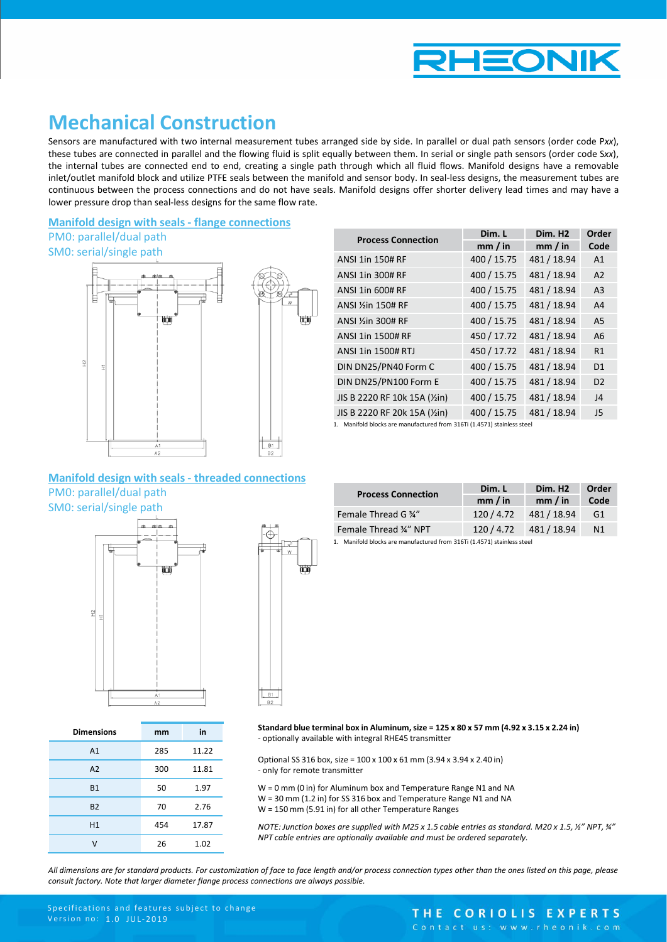

## **Mechanical Construction**

Sensors are manufactured with two internal measurement tubes arranged side by side. In parallel or dual path sensors (order code P*xx*), these tubes are connected in parallel and the flowing fluid is split equally between them. In serial or single path sensors (order code S*xx*), the internal tubes are connected end to end, creating a single path through which all fluid flows. Manifold designs have a removable inlet/outlet manifold block and utilize PTFE seals between the manifold and sensor body. In seal-less designs, the measurement tubes are continuous between the process connections and do not have seals. Manifold designs offer shorter delivery lead times and may have a lower pressure drop than seal-less designs for the same flow rate.

### **Manifold design with seals - flange connections**

### PM0: parallel/dual path



| k<br>一家<br>ŒU | χ<br>9          | W<br>(trin) |
|---------------|-----------------|-------------|
|               | B1<br><b>B2</b> |             |

| <b>Process Connection</b>     | Dim. L      | Dim. H <sub>2</sub> | Order          |
|-------------------------------|-------------|---------------------|----------------|
|                               | mm / in     | mm / in             | Code           |
| <b>ANSI 1in 150# RF</b>       | 400 / 15.75 | 481 / 18.94         | A <sub>1</sub> |
| ANSI 1in 300# RF              | 400 / 15.75 | 481 / 18.94         | A2             |
| ANSI 1in 600# RF              | 400 / 15.75 | 481 / 18.94         | A <sub>3</sub> |
| ANSI 150# RF                  | 400 / 15.75 | 481 / 18.94         | A <sub>4</sub> |
| ANSI 1/2 in 300# RF           | 400 / 15.75 | 481 / 18.94         | A5             |
| ANSI 1in 1500# RF             | 450 / 17.72 | 481 / 18.94         | A6             |
| ANSI 1in 1500# RTJ            | 450 / 17.72 | 481 / 18.94         | R1             |
| DIN DN25/PN40 Form C          | 400 / 15.75 | 481 / 18.94         | D <sub>1</sub> |
| DIN DN25/PN100 Form E         | 400 / 15.75 | 481 / 18.94         | D <sub>2</sub> |
| JIS B 2220 RF 10k 15A (1/2in) | 400 / 15.75 | 481 / 18.94         | J4             |
| JIS B 2220 RF 20k 15A (1/2in) | 400 / 15.75 | 481 / 18.94         | J <sub>5</sub> |

1. Manifold blocks are manufactured from 316Ti (1.4571) stainless steel

### **Manifold design with seals - threaded connections** PM0: parallel/dual path

SM0: serial/single path

*Dimensions on next page*



**Dimensions mm in**

A1 285 11.22 A2 300 11.81 B1 50 1.97 B2 70 2.76 H1 454 17.87 V 26 1.02

 $\mathbb{R}^{n+2}$ 

| <b>Process Connection</b> | Dim. L<br>mm / in | Dim. H <sub>2</sub><br>mm / in | Order<br>Code  |
|---------------------------|-------------------|--------------------------------|----------------|
| Female Thread G 34"       | 120/4.72          | 481 / 18.94                    | G1             |
| Female Thread 34" NPT     | 120/4.72          | 481/18.94                      | N <sub>1</sub> |

1. Manifold blocks are manufactured from 316Ti (1.4571) stainless steel

**Standard blue terminal box in Aluminum, size = 125 x 80 x 57 mm (4.92 x 3.15 x 2.24 in)** - optionally available with integral RHE45 transmitter

Optional SS 316 box, size = 100 x 100 x 61 mm (3.94 x 3.94 x 2.40 in) - only for remote transmitter

W = 0 mm (0 in) for Aluminum box and Temperature Range N1 and NA W = 30 mm (1.2 in) for SS 316 box and Temperature Range N1 and NA W = 150 mm (5.91 in) for all other Temperature Ranges

*NOTE: Junction boxes are supplied with M25 x 1.5 cable entries as standard. M20 x 1.5, ½" NPT, ¾" NPT cable entries are optionally available and must be ordered separately.*

All dimensions are for standard products. For customization of face to face length and/or process connection types other than the ones listed on this page, please *consult factory. Note that larger diameter flange process connections are always possible.*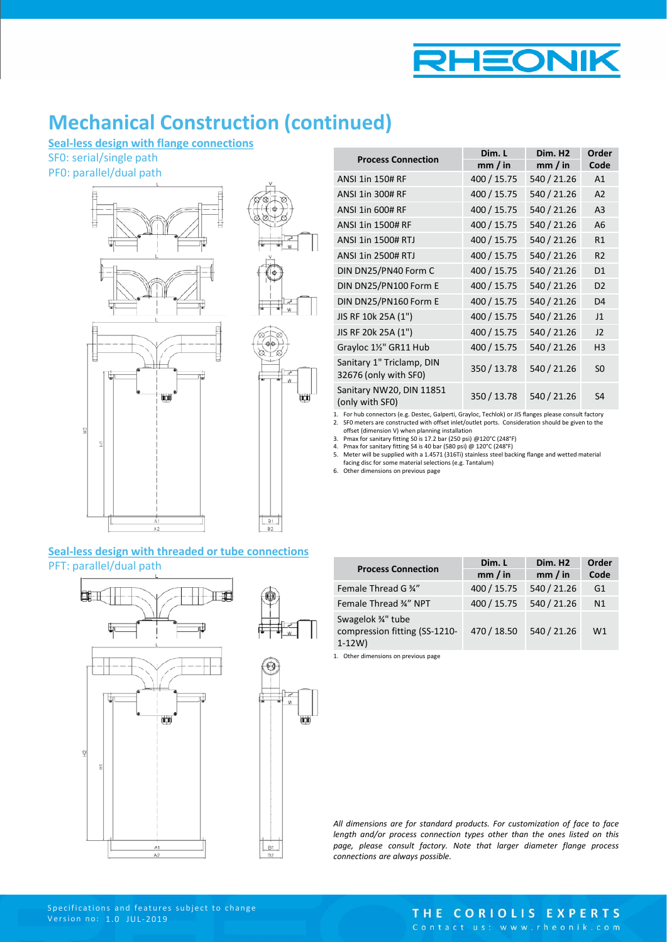

# **Mechanical Construction (continued)**

**Seal-less design with flange connections**

SF0: serial/single path

PF0: parallel/dual path



### **Seal-less design with threaded or tube connections** PFT: parallel/dual path



| <b>Process Connection</b>                          | Dim. L      | Dim. H <sub>2</sub> | Order          |
|----------------------------------------------------|-------------|---------------------|----------------|
|                                                    | mm / in     | mm / in             | Code           |
| <b>ANSI 1in 150# RF</b>                            | 400 / 15.75 | 540 / 21.26         | A <sub>1</sub> |
| ANSI 1in 300# RF                                   | 400 / 15.75 | 540 / 21.26         | A <sub>2</sub> |
| <b>ANSI 1in 600# RF</b>                            | 400 / 15.75 | 540 / 21.26         | A <sub>3</sub> |
| ANSI 1in 1500# RF                                  | 400 / 15.75 | 540 / 21.26         | A6             |
| <b>ANSI 1in 1500# RTJ</b>                          | 400 / 15.75 | 540 / 21.26         | R <sub>1</sub> |
| <b>ANSI 1in 2500# RTJ</b>                          | 400 / 15.75 | 540 / 21.26         | R <sub>2</sub> |
| DIN DN25/PN40 Form C                               | 400 / 15.75 | 540 / 21.26         | D <sub>1</sub> |
| DIN DN25/PN100 Form E                              | 400 / 15.75 | 540 / 21.26         | D <sub>2</sub> |
| DIN DN25/PN160 Form E                              | 400 / 15.75 | 540 / 21.26         | D <sub>4</sub> |
| JIS RF 10k 25A (1")                                | 400 / 15.75 | 540 / 21.26         | J <sub>1</sub> |
| JIS RF 20k 25A (1")                                | 400 / 15.75 | 540 / 21.26         | 12             |
| Grayloc 1½" GR11 Hub                               | 400 / 15.75 | 540 / 21.26         | H <sub>3</sub> |
| Sanitary 1" Triclamp, DIN<br>32676 (only with SF0) | 350 / 13.78 | 540 / 21.26         | S <sub>0</sub> |
| Sanitary NW20, DIN 11851<br>(only with SF0)        | 350 / 13.78 | 540 / 21.26         | S <sub>4</sub> |

1. For hub connectors (e.g. Destec, Galperti, Grayloc, Techlok) or JIS flanges please consult factory 2. SF0 meters are constructed with offset inlet/outlet ports. Consideration should be given to the offset (dimension V) when planning installation

3. Pmax for sanitary fitting S0 is 17.2 bar (250 psi) @120°C (248°F) 4. Pmax for sanitary fitting S4 is 40 bar (580 psi) @ 120°C (248°F)

5. Meter will be supplied with a 1.4571 (316Ti) stainless steel backing flange and wetted material facing disc for some material selections (e.g. Tantalum)

6. Other dimensions on previous page

| <b>Process Connection</b>                                        | Dim. L      | Dim. H <sub>2</sub> | Order          |
|------------------------------------------------------------------|-------------|---------------------|----------------|
|                                                                  | mm / in     | mm / in             | Code           |
| Female Thread G 34"                                              | 400 / 15.75 | 540 / 21.26         | G1             |
| Female Thread 34" NPT                                            | 400 / 15.75 | 540 / 21.26         | N <sub>1</sub> |
| Swagelok 3/4" tube<br>compression fitting (SS-1210-<br>$1 - 12W$ | 470 / 18.50 | 540 / 21.26         | W1             |

1. Other dimensions on previous page

*All dimensions are for standard products. For customization of face to face length and/or process connection types other than the ones listed on this page, please consult factory. Note that larger diameter flange process connections are always possible.*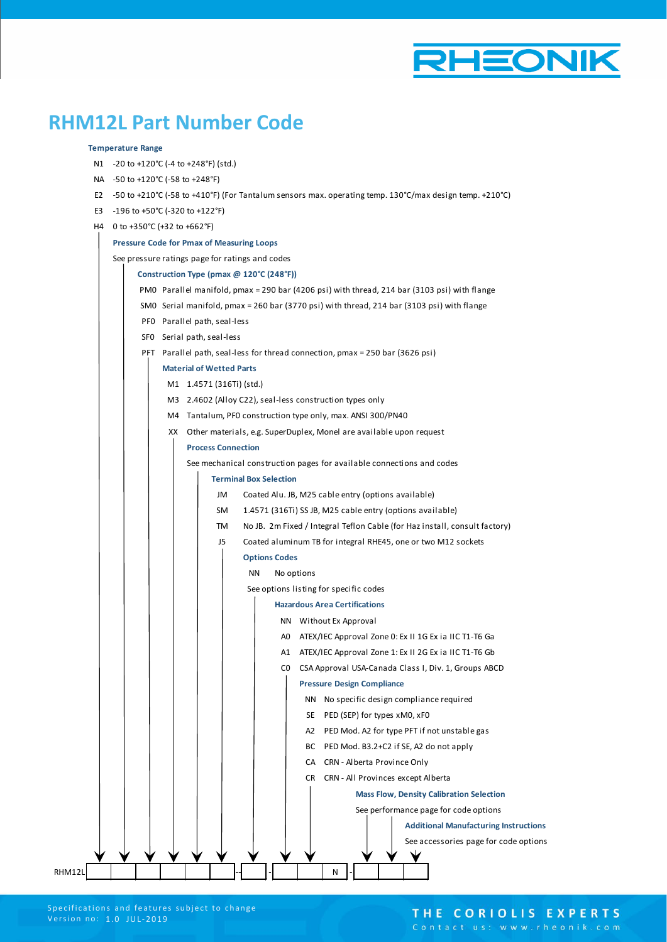

## **RHM12L Part Number Code**

#### **Temperature Range**

- N1 -20 to +120°C (-4 to +248°F) (std.)
- NA -50 to +120°C (-58 to +248°F)
- E2 -50 to +210°C (-58 to +410°F) (For Tantalum sensors max. operating temp. 130°C/max design temp. +210°C)
- E3 -196 to +50°C (-320 to +122°F)
- H4 0 to +350°C (+32 to +662°F)

#### **Pressure Code for Pmax of Measuring Loops**

See pressure ratings page for ratings and codes



### THE CORIOLIS EXPERTS

Contact us: www.rheonik.com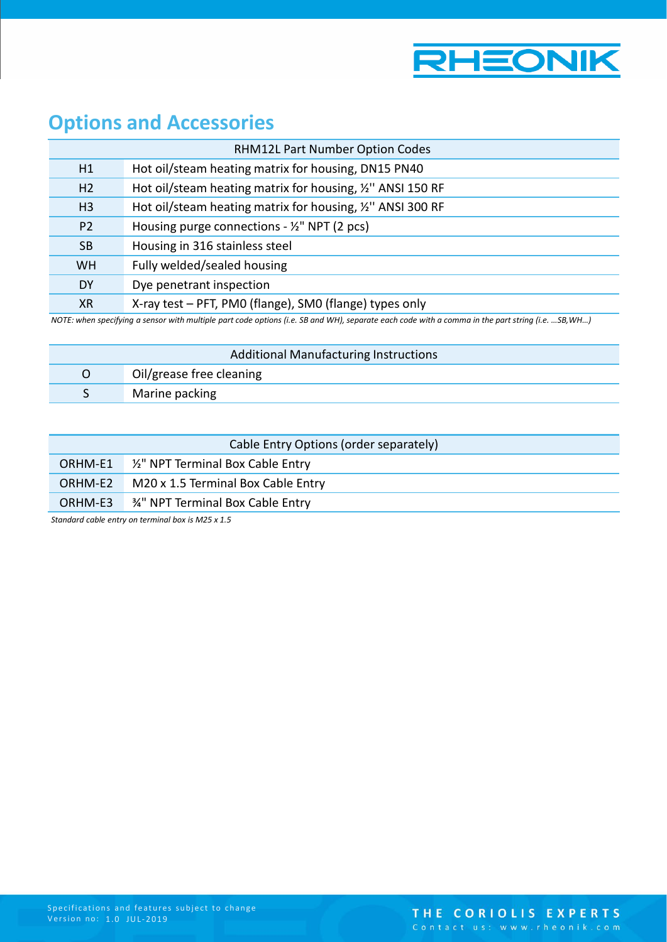

# **Options and Accessories**

|                                                                                                                                                   | <b>RHM12L Part Number Option Codes</b>                     |  |
|---------------------------------------------------------------------------------------------------------------------------------------------------|------------------------------------------------------------|--|
| H1                                                                                                                                                | Hot oil/steam heating matrix for housing, DN15 PN40        |  |
| H <sub>2</sub>                                                                                                                                    | Hot oil/steam heating matrix for housing, 1/2" ANSI 150 RF |  |
| H <sub>3</sub>                                                                                                                                    | Hot oil/steam heating matrix for housing, 1/2" ANSI 300 RF |  |
| P <sub>2</sub>                                                                                                                                    | Housing purge connections - $\frac{1}{2}$ " NPT (2 pcs)    |  |
| <b>SB</b>                                                                                                                                         | Housing in 316 stainless steel                             |  |
| <b>WH</b>                                                                                                                                         | Fully welded/sealed housing                                |  |
| <b>DY</b>                                                                                                                                         | Dye penetrant inspection                                   |  |
| <b>XR</b>                                                                                                                                         | X-ray test - PFT, PMO (flange), SMO (flange) types only    |  |
| NOTE: when specifying a sensor with multiple part code options (i.e. SB and WH), separate each code with a comma in the part string (i.e. SB, WH) |                                                            |  |

| Additional Manufacturing Instructions |                          |  |
|---------------------------------------|--------------------------|--|
|                                       | Oil/grease free cleaning |  |
|                                       | Marine packing           |  |

| Cable Entry Options (order separately) |                                                     |  |
|----------------------------------------|-----------------------------------------------------|--|
|                                        | ORHM-E1 <sup>1/2</sup> NPT Terminal Box Cable Entry |  |
| ORHM-E2                                | M20 x 1.5 Terminal Box Cable Entry                  |  |
| ORHM-E3                                | 34" NPT Terminal Box Cable Entry                    |  |
|                                        |                                                     |  |

*Standard cable entry on terminal box is M25 x 1.5*